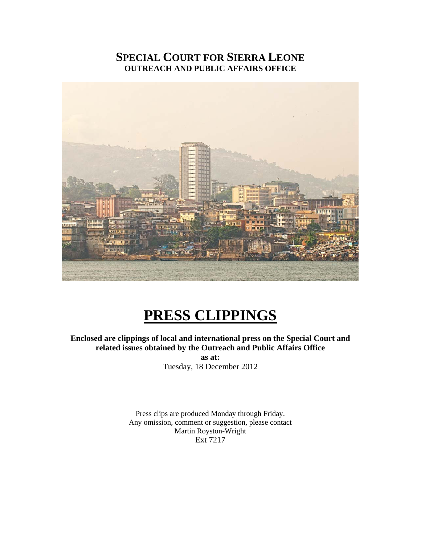## **SPECIAL COURT FOR SIERRA LEONE OUTREACH AND PUBLIC AFFAIRS OFFICE**



# **PRESS CLIPPINGS**

### **Enclosed are clippings of local and international press on the Special Court and related issues obtained by the Outreach and Public Affairs Office**

**as at:**  Tuesday, 18 December 2012

Press clips are produced Monday through Friday. Any omission, comment or suggestion, please contact Martin Royston-Wright Ext 7217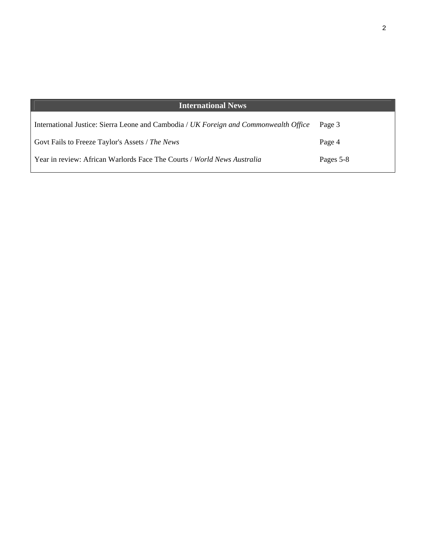| <b>International News</b>                                                             |           |
|---------------------------------------------------------------------------------------|-----------|
| International Justice: Sierra Leone and Cambodia / UK Foreign and Commonwealth Office | Page 3    |
| Govt Fails to Freeze Taylor's Assets / The News                                       | Page 4    |
| Year in review: African Warlords Face The Courts / World News Australia               | Pages 5-8 |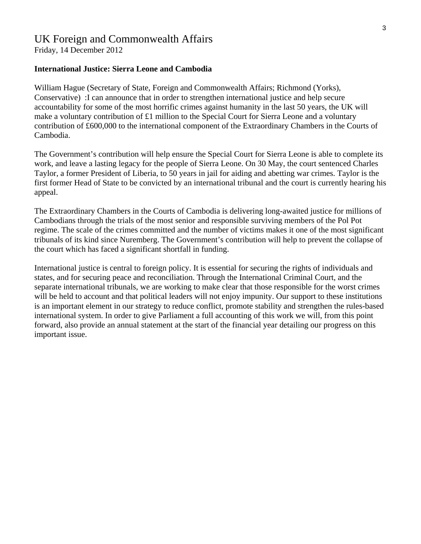# UK Foreign and Commonwealth Affairs

Friday, 14 December 2012

#### **International Justice: Sierra Leone and Cambodia**

William Hague (Secretary of State, Foreign and Commonwealth Affairs; Richmond (Yorks), Conservative) :I can announce that in order to strengthen international justice and help secure accountability for some of the most horrific crimes against humanity in the last 50 years, the UK will make a voluntary contribution of £1 million to the Special Court for Sierra Leone and a voluntary contribution of £600,000 to the international component of the Extraordinary Chambers in the Courts of Cambodia.

The Government's contribution will help ensure the Special Court for Sierra Leone is able to complete its work, and leave a lasting legacy for the people of Sierra Leone. On 30 May, the court sentenced Charles Taylor, a former President of Liberia, to 50 years in jail for aiding and abetting war crimes. Taylor is the first former Head of State to be convicted by an international tribunal and the court is currently hearing his appeal.

The Extraordinary Chambers in the Courts of Cambodia is delivering long-awaited justice for millions of Cambodians through the trials of the most senior and responsible surviving members of the Pol Pot regime. The scale of the crimes committed and the number of victims makes it one of the most significant tribunals of its kind since Nuremberg. The Government's contribution will help to prevent the collapse of the court which has faced a significant shortfall in funding.

International justice is central to foreign policy. It is essential for securing the rights of individuals and states, and for securing peace and reconciliation. Through the International Criminal Court, and the separate international tribunals, we are working to make clear that those responsible for the worst crimes will be held to account and that political leaders will not enjoy impunity. Our support to these institutions is an important element in our strategy to reduce conflict, promote stability and strengthen the rules-based international system. In order to give Parliament a full accounting of this work we will, from this point forward, also provide an annual statement at the start of the financial year detailing our progress on this important issue.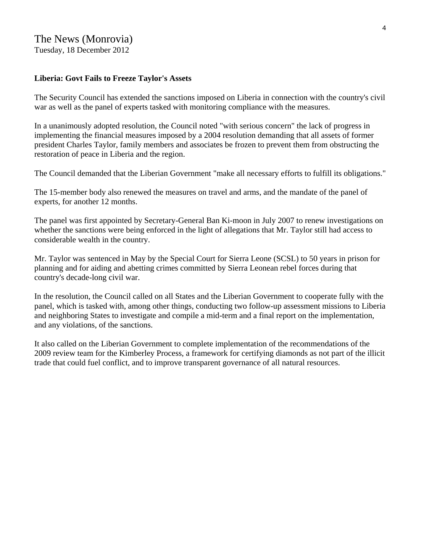### The News (Monrovia) Tuesday, 18 December 2012

## **Liberia: Govt Fails to Freeze Taylor's Assets**

The Security Council has extended the sanctions imposed on Liberia in connection with the country's civil war as well as the panel of experts tasked with monitoring compliance with the measures.

In a unanimously adopted resolution, the Council noted "with serious concern" the lack of progress in implementing the financial measures imposed by a 2004 resolution demanding that all assets of former president Charles Taylor, family members and associates be frozen to prevent them from obstructing the restoration of peace in Liberia and the region.

The Council demanded that the Liberian Government "make all necessary efforts to fulfill its obligations."

The 15-member body also renewed the measures on travel and arms, and the mandate of the panel of experts, for another 12 months.

The panel was first appointed by Secretary-General Ban Ki-moon in July 2007 to renew investigations on whether the sanctions were being enforced in the light of allegations that Mr. Taylor still had access to considerable wealth in the country.

Mr. Taylor was sentenced in May by the Special Court for Sierra Leone (SCSL) to 50 years in prison for planning and for aiding and abetting crimes committed by Sierra Leonean rebel forces during that country's decade-long civil war.

In the resolution, the Council called on all States and the Liberian Government to cooperate fully with the panel, which is tasked with, among other things, conducting two follow-up assessment missions to Liberia and neighboring States to investigate and compile a mid-term and a final report on the implementation, and any violations, of the sanctions.

It also called on the Liberian Government to complete implementation of the recommendations of the 2009 review team for the Kimberley Process, a framework for certifying diamonds as not part of the illicit trade that could fuel conflict, and to improve transparent governance of all natural resources.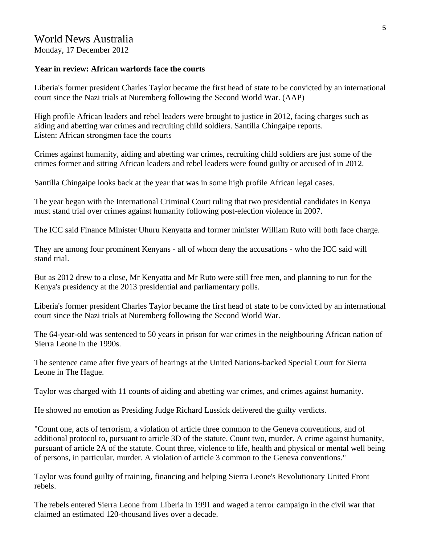Monday, 17 December 2012

#### **Year in review: African warlords face the courts**

Liberia's former president Charles Taylor became the first head of state to be convicted by an international court since the Nazi trials at Nuremberg following the Second World War. (AAP)

High profile African leaders and rebel leaders were brought to justice in 2012, facing charges such as aiding and abetting war crimes and recruiting child soldiers. Santilla Chingaipe reports. Listen: African strongmen face the courts

Crimes against humanity, aiding and abetting war crimes, recruiting child soldiers are just some of the crimes former and sitting African leaders and rebel leaders were found guilty or accused of in 2012.

Santilla Chingaipe looks back at the year that was in some high profile African legal cases.

The year began with the International Criminal Court ruling that two presidential candidates in Kenya must stand trial over crimes against humanity following post-election violence in 2007.

The ICC said Finance Minister Uhuru Kenyatta and former minister William Ruto will both face charge.

They are among four prominent Kenyans - all of whom deny the accusations - who the ICC said will stand trial.

But as 2012 drew to a close, Mr Kenyatta and Mr Ruto were still free men, and planning to run for the Kenya's presidency at the 2013 presidential and parliamentary polls.

Liberia's former president Charles Taylor became the first head of state to be convicted by an international court since the Nazi trials at Nuremberg following the Second World War.

The 64-year-old was sentenced to 50 years in prison for war crimes in the neighbouring African nation of Sierra Leone in the 1990s.

The sentence came after five years of hearings at the United Nations-backed Special Court for Sierra Leone in The Hague.

Taylor was charged with 11 counts of aiding and abetting war crimes, and crimes against humanity.

He showed no emotion as Presiding Judge Richard Lussick delivered the guilty verdicts.

"Count one, acts of terrorism, a violation of article three common to the Geneva conventions, and of additional protocol to, pursuant to article 3D of the statute. Count two, murder. A crime against humanity, pursuant of article 2A of the statute. Count three, violence to life, health and physical or mental well being of persons, in particular, murder. A violation of article 3 common to the Geneva conventions."

Taylor was found guilty of training, financing and helping Sierra Leone's Revolutionary United Front rebels.

The rebels entered Sierra Leone from Liberia in 1991 and waged a terror campaign in the civil war that claimed an estimated 120-thousand lives over a decade.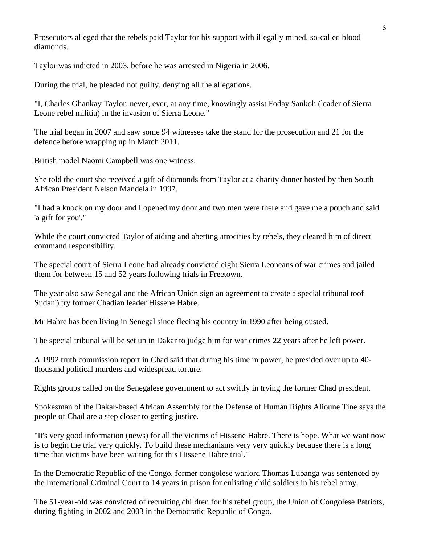Prosecutors alleged that the rebels paid Taylor for his support with illegally mined, so-called blood diamonds.

Taylor was indicted in 2003, before he was arrested in Nigeria in 2006.

During the trial, he pleaded not guilty, denying all the allegations.

"I, Charles Ghankay Taylor, never, ever, at any time, knowingly assist Foday Sankoh (leader of Sierra Leone rebel militia) in the invasion of Sierra Leone."

The trial began in 2007 and saw some 94 witnesses take the stand for the prosecution and 21 for the defence before wrapping up in March 2011.

British model Naomi Campbell was one witness.

She told the court she received a gift of diamonds from Taylor at a charity dinner hosted by then South African President Nelson Mandela in 1997.

"I had a knock on my door and I opened my door and two men were there and gave me a pouch and said 'a gift for you'."

While the court convicted Taylor of aiding and abetting atrocities by rebels, they cleared him of direct command responsibility.

The special court of Sierra Leone had already convicted eight Sierra Leoneans of war crimes and jailed them for between 15 and 52 years following trials in Freetown.

The year also saw Senegal and the African Union sign an agreement to create a special tribunal toof Sudan') try former Chadian leader Hissene Habre.

Mr Habre has been living in Senegal since fleeing his country in 1990 after being ousted.

The special tribunal will be set up in Dakar to judge him for war crimes 22 years after he left power.

A 1992 truth commission report in Chad said that during his time in power, he presided over up to 40 thousand political murders and widespread torture.

Rights groups called on the Senegalese government to act swiftly in trying the former Chad president.

Spokesman of the Dakar-based African Assembly for the Defense of Human Rights Alioune Tine says the people of Chad are a step closer to getting justice.

"It's very good information (news) for all the victims of Hissene Habre. There is hope. What we want now is to begin the trial very quickly. To build these mechanisms very very quickly because there is a long time that victims have been waiting for this Hissene Habre trial."

In the Democratic Republic of the Congo, former congolese warlord Thomas Lubanga was sentenced by the International Criminal Court to 14 years in prison for enlisting child soldiers in his rebel army.

The 51-year-old was convicted of recruiting children for his rebel group, the Union of Congolese Patriots, during fighting in 2002 and 2003 in the Democratic Republic of Congo.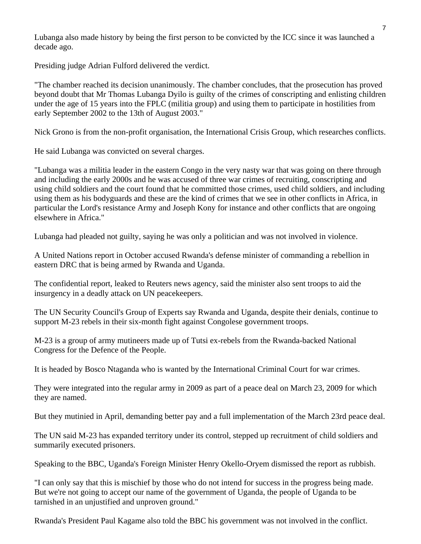Lubanga also made history by being the first person to be convicted by the ICC since it was launched a decade ago.

Presiding judge Adrian Fulford delivered the verdict.

"The chamber reached its decision unanimously. The chamber concludes, that the prosecution has proved beyond doubt that Mr Thomas Lubanga Dyilo is guilty of the crimes of conscripting and enlisting children under the age of 15 years into the FPLC (militia group) and using them to participate in hostilities from early September 2002 to the 13th of August 2003."

Nick Grono is from the non-profit organisation, the International Crisis Group, which researches conflicts.

He said Lubanga was convicted on several charges.

"Lubanga was a militia leader in the eastern Congo in the very nasty war that was going on there through and including the early 2000s and he was accused of three war crimes of recruiting, conscripting and using child soldiers and the court found that he committed those crimes, used child soldiers, and including using them as his bodyguards and these are the kind of crimes that we see in other conflicts in Africa, in particular the Lord's resistance Army and Joseph Kony for instance and other conflicts that are ongoing elsewhere in Africa."

Lubanga had pleaded not guilty, saying he was only a politician and was not involved in violence.

A United Nations report in October accused Rwanda's defense minister of commanding a rebellion in eastern DRC that is being armed by Rwanda and Uganda.

The confidential report, leaked to Reuters news agency, said the minister also sent troops to aid the insurgency in a deadly attack on UN peacekeepers.

The UN Security Council's Group of Experts say Rwanda and Uganda, despite their denials, continue to support M-23 rebels in their six-month fight against Congolese government troops.

M-23 is a group of army mutineers made up of Tutsi ex-rebels from the Rwanda-backed National Congress for the Defence of the People.

It is headed by Bosco Ntaganda who is wanted by the International Criminal Court for war crimes.

They were integrated into the regular army in 2009 as part of a peace deal on March 23, 2009 for which they are named.

But they mutinied in April, demanding better pay and a full implementation of the March 23rd peace deal.

The UN said M-23 has expanded territory under its control, stepped up recruitment of child soldiers and summarily executed prisoners.

Speaking to the BBC, Uganda's Foreign Minister Henry Okello-Oryem dismissed the report as rubbish.

"I can only say that this is mischief by those who do not intend for success in the progress being made. But we're not going to accept our name of the government of Uganda, the people of Uganda to be tarnished in an unjustified and unproven ground."

Rwanda's President Paul Kagame also told the BBC his government was not involved in the conflict.